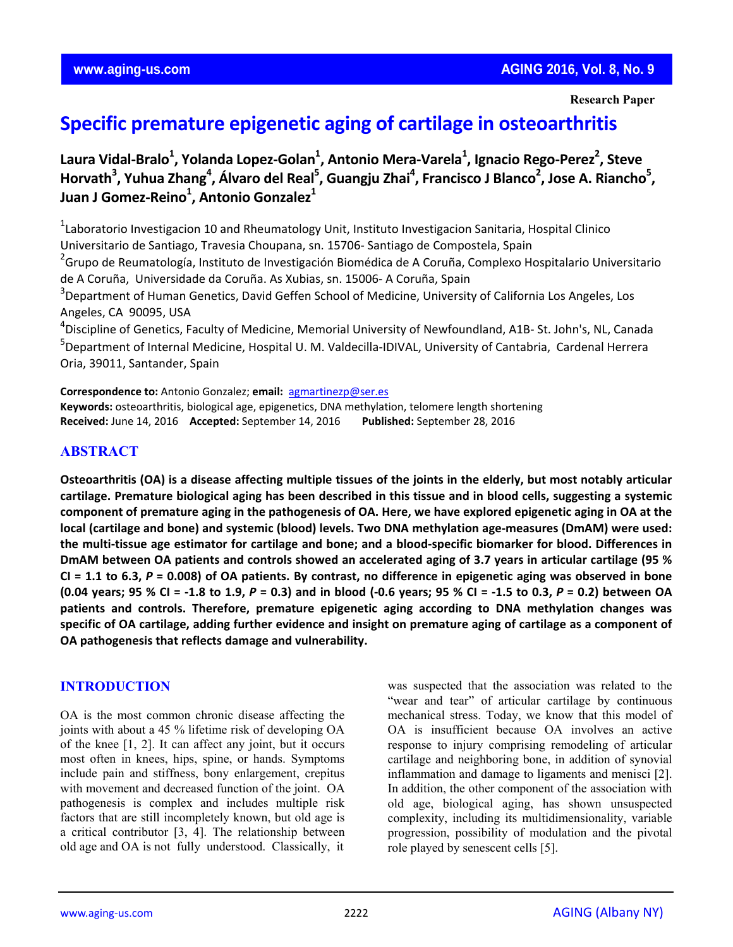**Research Paper**

# **Specific premature epigenetic aging of cartilage in osteoarthritis**

Laura Vidal-Bralo<sup>1</sup>, Yolanda Lopez-Golan<sup>1</sup>, Antonio Mera-Varela<sup>1</sup>, Ignacio Rego-Perez<sup>2</sup>, Steve Horvath<sup>3</sup>, Yuhua Zhang<sup>4</sup>, Álvaro del Real<sup>5</sup>, Guangju Zhai<sup>4</sup>, Francisco J Blanco<sup>2</sup>, Jose A. Riancho<sup>5</sup>, **Juan J Gomez‐Reino1 , Antonio Gonzalez1**

<sup>1</sup>Laboratorio Investigacion 10 and Rheumatology Unit, Instituto Investigacion Sanitaria, Hospital Clinico Universitario de Santiago, Travesia Choupana, sn. 15706‐ Santiago de Compostela, Spain

<sup>2</sup>Grupo de Reumatología, Instituto de Investigación Biomédica de A Coruña, Complexo Hospitalario Universitario de A Coruña, Universidade da Coruña. As Xubias, sn. 15006‐ A Coruña, Spain

<sup>3</sup>Department of Human Genetics, David Geffen School of Medicine, University of California Los Angeles, Los Angeles, CA 90095, USA

4 Discipline of Genetics, Faculty of Medicine, Memorial University of Newfoundland, A1B‐ St. John's, NL, Canada <sup>5</sup>Department of Internal Medicine, Hospital U. M. Valdecilla-IDIVAL, University of Cantabria, Cardenal Herrera Oria, 39011, Santander, Spain

**Correspondence to:** Antonio Gonzalez; **email:** agmartinezp@ser.es **Keywords:** osteoarthritis, biological age, epigenetics, DNA methylation, telomere length shortening **Received:** June 14, 2016 **Accepted:** September 14, 2016 **Published:** September 28, 2016

## **ABSTRACT**

Osteoarthritis (OA) is a disease affecting multiple tissues of the joints in the elderly, but most notably articular cartilage. Premature biological aging has been described in this tissue and in blood cells, suggesting a systemic component of premature aging in the pathogenesis of OA. Here, we have explored epigenetic aging in OA at the local (cartilage and bone) and systemic (blood) levels. Two DNA methylation age-measures (DmAM) were used: the multi-tissue age estimator for cartilage and bone; and a blood-specific biomarker for blood. Differences in DmAM between OA patients and controls showed an accelerated aging of 3.7 years in articular cartilage (95 % CI = 1.1 to 6.3,  $P = 0.008$ ) of OA patients. By contrast, no difference in epigenetic aging was observed in bone (0.04 years; 95 % CI = -1.8 to 1.9,  $P = 0.3$ ) and in blood (-0.6 years; 95 % CI = -1.5 to 0.3,  $P = 0.2$ ) between OA **patients and controls. Therefore, premature epigenetic aging according to DNA methylation changes was** specific of OA cartilage, adding further evidence and insight on premature aging of cartilage as a component of **OA pathogenesis that reflects damage and vulnerability.** 

## **INTRODUCTION**

OA is the most common chronic disease affecting the joints with about a 45 % lifetime risk of developing OA of the knee [1, 2]. It can affect any joint, but it occurs most often in knees, hips, spine, or hands. Symptoms include pain and stiffness, bony enlargement, crepitus with movement and decreased function of the joint. OA pathogenesis is complex and includes multiple risk factors that are still incompletely known, but old age is a critical contributor [3, 4]. The relationship between old age and OA is not fully understood. Classically, it was suspected that the association was related to the "wear and tear" of articular cartilage by continuous mechanical stress. Today, we know that this model of OA is insufficient because OA involves an active response to injury comprising remodeling of articular cartilage and neighboring bone, in addition of synovial inflammation and damage to ligaments and menisci [2]. In addition, the other component of the association with old age, biological aging, has shown unsuspected complexity, including its multidimensionality, variable progression, possibility of modulation and the pivotal role played by senescent cells [5].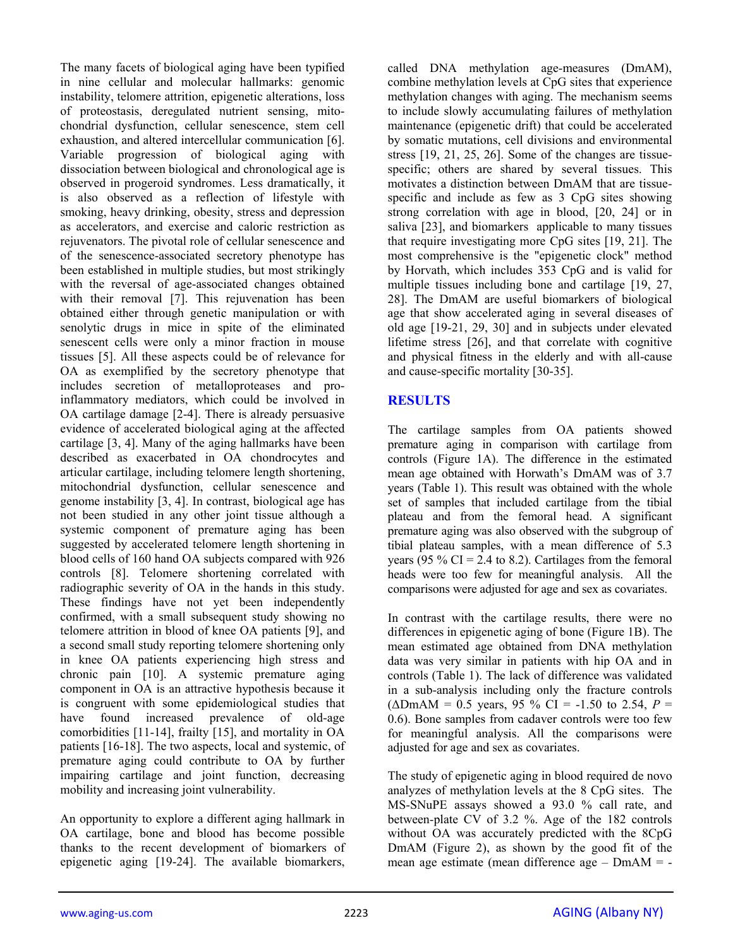The many facets of biological aging have been typified in nine cellular and molecular hallmarks: genomic instability, telomere attrition, epigenetic alterations, loss of proteostasis, deregulated nutrient sensing, mitochondrial dysfunction, cellular senescence, stem cell exhaustion, and altered intercellular communication [6]. Variable progression of biological aging with dissociation between biological and chronological age is observed in progeroid syndromes. Less dramatically, it is also observed as a reflection of lifestyle with smoking, heavy drinking, obesity, stress and depression as accelerators, and exercise and caloric restriction as rejuvenators. The pivotal role of cellular senescence and of the senescence-associated secretory phenotype has been established in multiple studies, but most strikingly with the reversal of age-associated changes obtained with their removal [7]. This rejuvenation has been obtained either through genetic manipulation or with senolytic drugs in mice in spite of the eliminated senescent cells were only a minor fraction in mouse tissues [5]. All these aspects could be of relevance for OA as exemplified by the secretory phenotype that includes secretion of metalloproteases and proinflammatory mediators, which could be involved in OA cartilage damage [2-4]. There is already persuasive evidence of accelerated biological aging at the affected cartilage [3, 4]. Many of the aging hallmarks have been described as exacerbated in OA chondrocytes and articular cartilage, including telomere length shortening, mitochondrial dysfunction, cellular senescence and genome instability [3, 4]. In contrast, biological age has not been studied in any other joint tissue although a systemic component of premature aging has been suggested by accelerated telomere length shortening in blood cells of 160 hand OA subjects compared with 926 controls [8]. Telomere shortening correlated with radiographic severity of OA in the hands in this study. These findings have not yet been independently confirmed, with a small subsequent study showing no telomere attrition in blood of knee OA patients [9], and a second small study reporting telomere shortening only in knee OA patients experiencing high stress and chronic pain [10]. A systemic premature aging component in OA is an attractive hypothesis because it is congruent with some epidemiological studies that have found increased prevalence of old-age comorbidities [11-14], frailty [15], and mortality in OA patients [16-18]. The two aspects, local and systemic, of premature aging could contribute to OA by further impairing cartilage and joint function, decreasing mobility and increasing joint vulnerability.

An opportunity to explore a different aging hallmark in OA cartilage, bone and blood has become possible thanks to the recent development of biomarkers of epigenetic aging [19-24]. The available biomarkers,

called DNA methylation age-measures (DmAM), combine methylation levels at CpG sites that experience methylation changes with aging. The mechanism seems to include slowly accumulating failures of methylation maintenance (epigenetic drift) that could be accelerated by somatic mutations, cell divisions and environmental stress [19, 21, 25, 26]. Some of the changes are tissuespecific; others are shared by several tissues. This motivates a distinction between DmAM that are tissuespecific and include as few as 3 CpG sites showing strong correlation with age in blood, [20, 24] or in saliva [23], and biomarkers applicable to many tissues that require investigating more CpG sites [19, 21]. The most comprehensive is the "epigenetic clock" method by Horvath, which includes 353 CpG and is valid for multiple tissues including bone and cartilage [19, 27, 28]. The DmAM are useful biomarkers of biological age that show accelerated aging in several diseases of old age [19-21, 29, 30] and in subjects under elevated lifetime stress [26], and that correlate with cognitive and physical fitness in the elderly and with all-cause and cause-specific mortality [30-35].

## **RESULTS**

The cartilage samples from OA patients showed premature aging in comparison with cartilage from controls (Figure 1A). The difference in the estimated mean age obtained with Horwath's DmAM was of 3.7 years (Table 1). This result was obtained with the whole set of samples that included cartilage from the tibial plateau and from the femoral head. A significant premature aging was also observed with the subgroup of tibial plateau samples, with a mean difference of 5.3 years (95  $\%$  CI = 2.4 to 8.2). Cartilages from the femoral heads were too few for meaningful analysis. All the comparisons were adjusted for age and sex as covariates.

In contrast with the cartilage results, there were no differences in epigenetic aging of bone (Figure 1B). The mean estimated age obtained from DNA methylation data was very similar in patients with hip OA and in controls (Table 1). The lack of difference was validated in a sub-analysis including only the fracture controls  $(\Delta$ DmAM = 0.5 years, 95 % CI = -1.50 to 2.54,  $P =$ 0.6). Bone samples from cadaver controls were too few for meaningful analysis. All the comparisons were adjusted for age and sex as covariates.

The study of epigenetic aging in blood required de novo analyzes of methylation levels at the 8 CpG sites. The MS-SNuPE assays showed a 93.0 % call rate, and between-plate CV of 3.2 %. Age of the 182 controls without OA was accurately predicted with the 8CpG DmAM (Figure 2), as shown by the good fit of the mean age estimate (mean difference age – DmAM = -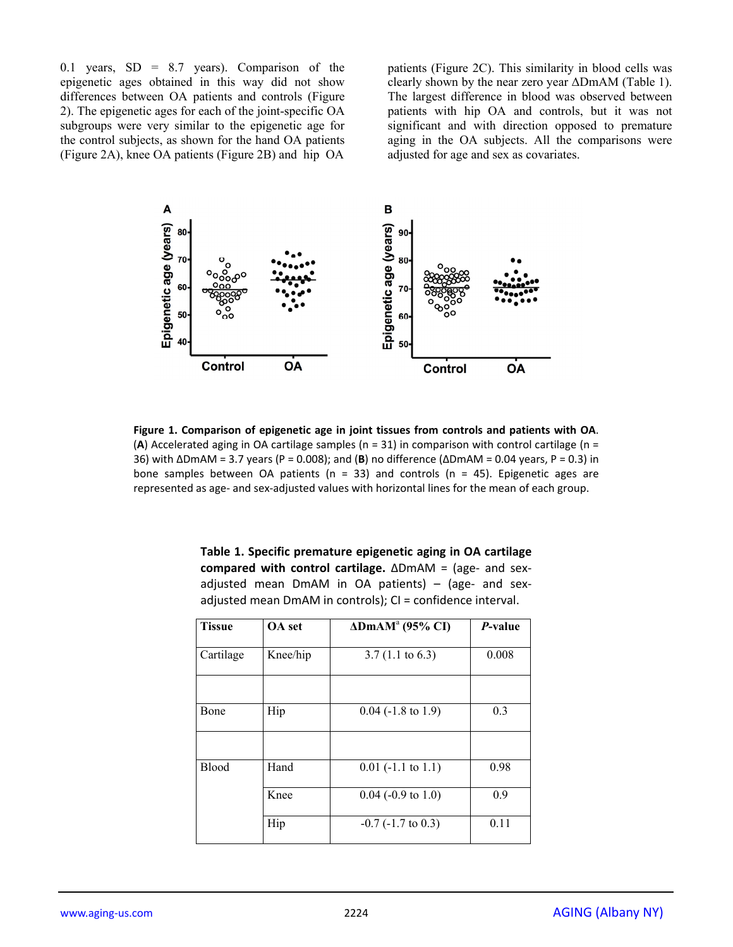0.1 years,  $SD = 8.7$  years). Comparison of the epigenetic ages obtained in this way did not show differences between OA patients and controls (Figure 2). The epigenetic ages for each of the joint-specific OA subgroups were very similar to the epigenetic age for the control subjects, as shown for the hand OA patients (Figure 2A), knee OA patients (Figure 2B) and hip OA

patients (Figure 2C). This similarity in blood cells was clearly shown by the near zero year ΔDmAM (Table 1). The largest difference in blood was observed between patients with hip OA and controls, but it was not significant and with direction opposed to premature aging in the OA subjects. All the comparisons were adjusted for age and sex as covariates.



**Figure 1. Comparison of epigenetic age in joint tissues from controls and patients with OA**. (**A**) Accelerated aging in OA cartilage samples (n = 31) in comparison with control cartilage (n = 36) with ΔDmAM = 3.7 years (P = 0.008); and (**B**) no difference (ΔDmAM = 0.04 years, P = 0.3) in bone samples between OA patients ( $n = 33$ ) and controls ( $n = 45$ ). Epigenetic ages are represented as age- and sex-adjusted values with horizontal lines for the mean of each group.

| Table 1. Specific premature epigenetic aging in OA cartilage    |  |  |  |  |  |  |  |  |
|-----------------------------------------------------------------|--|--|--|--|--|--|--|--|
| compared with control cartilage. $\Delta$ DmAM = (age- and sex- |  |  |  |  |  |  |  |  |
| adjusted mean DmAM in OA patients) – (age- and sex-             |  |  |  |  |  |  |  |  |
| adjusted mean DmAM in controls); CI = confidence interval.      |  |  |  |  |  |  |  |  |

| <b>Tissue</b> | <b>OA</b> set                          | $\triangle$ DmAM <sup>a</sup> (95% CI) | P-value |
|---------------|----------------------------------------|----------------------------------------|---------|
| Cartilage     | Knee/hip<br>$3.7(1.1 \text{ to } 6.3)$ |                                        | 0.008   |
|               |                                        |                                        |         |
| Bone          | Hip                                    | $0.04$ (-1.8 to 1.9)                   | 0.3     |
|               |                                        |                                        |         |
| Blood         | Hand                                   | $0.01$ (-1.1 to 1.1)                   | 0.98    |
|               | Knee                                   | $0.04$ (-0.9 to 1.0)                   | 0.9     |
|               | Hip                                    | $-0.7$ ( $-1.7$ to 0.3)                | 0.11    |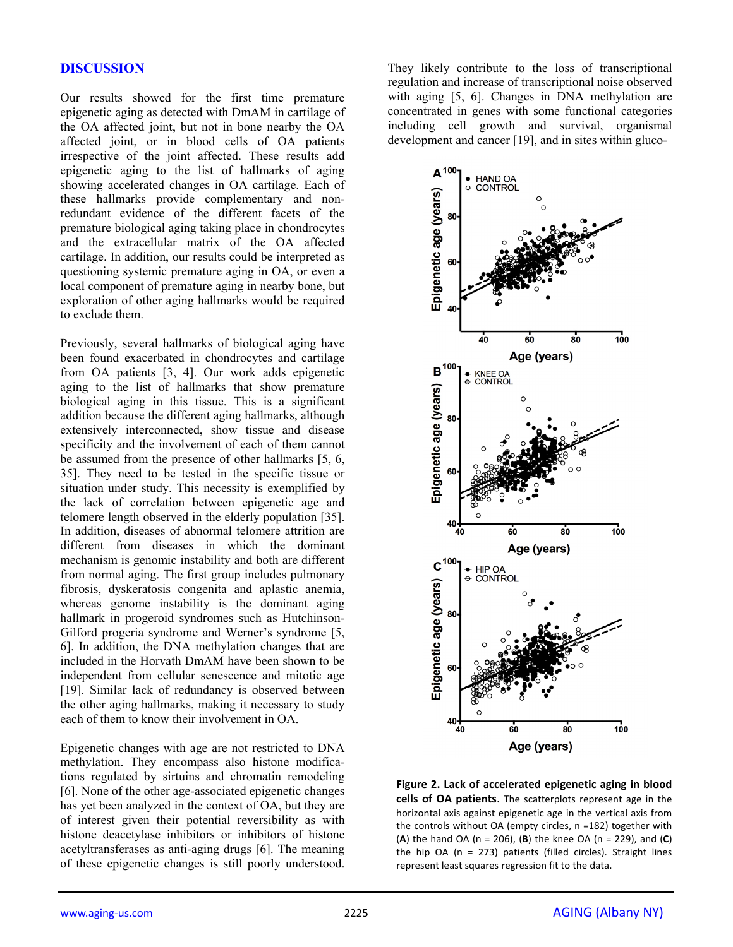#### **DISCUSSION**

Our results showed for the first time premature epigenetic aging as detected with DmAM in cartilage of the OA affected joint, but not in bone nearby the OA affected joint, or in blood cells of OA patients irrespective of the joint affected. These results add epigenetic aging to the list of hallmarks of aging showing accelerated changes in OA cartilage. Each of these hallmarks provide complementary and nonredundant evidence of the different facets of the premature biological aging taking place in chondrocytes and the extracellular matrix of the OA affected cartilage. In addition, our results could be interpreted as questioning systemic premature aging in OA, or even a local component of premature aging in nearby bone, but exploration of other aging hallmarks would be required to exclude them.

Previously, several hallmarks of biological aging have been found exacerbated in chondrocytes and cartilage from OA patients [3, 4]. Our work adds epigenetic aging to the list of hallmarks that show premature biological aging in this tissue. This is a significant addition because the different aging hallmarks, although extensively interconnected, show tissue and disease specificity and the involvement of each of them cannot be assumed from the presence of other hallmarks [5, 6, 35]. They need to be tested in the specific tissue or situation under study. This necessity is exemplified by the lack of correlation between epigenetic age and telomere length observed in the elderly population [35]. In addition, diseases of abnormal telomere attrition are different from diseases in which the dominant mechanism is genomic instability and both are different from normal aging. The first group includes pulmonary fibrosis, dyskeratosis congenita and aplastic anemia, whereas genome instability is the dominant aging hallmark in progeroid syndromes such as Hutchinson-Gilford progeria syndrome and Werner's syndrome [5, 6]. In addition, the DNA methylation changes that are included in the Horvath DmAM have been shown to be independent from cellular senescence and mitotic age [19]. Similar lack of redundancy is observed between the other aging hallmarks, making it necessary to study each of them to know their involvement in OA.

Epigenetic changes with age are not restricted to DNA methylation. They encompass also histone modifications regulated by sirtuins and chromatin remodeling [6]. None of the other age-associated epigenetic changes has yet been analyzed in the context of OA, but they are of interest given their potential reversibility as with histone deacetylase inhibitors or inhibitors of histone acetyltransferases as anti-aging drugs [6]. The meaning of these epigenetic changes is still poorly understood.

They likely contribute to the loss of transcriptional regulation and increase of transcriptional noise observed with aging [5, 6]. Changes in DNA methylation are concentrated in genes with some functional categories including cell growth and survival, organismal development and cancer [19], and in sites within gluco-



**Figure 2. Lack of accelerated epigenetic aging in blood cells of OA patients**. The scatterplots represent age in the horizontal axis against epigenetic age in the vertical axis from the controls without OA (empty circles, n =182) together with (**A**) the hand OA (n = 206), (**B**) the knee OA (n = 229), and (**C**) the hip OA (n = 273) patients (filled circles). Straight lines represent least squares regression fit to the data.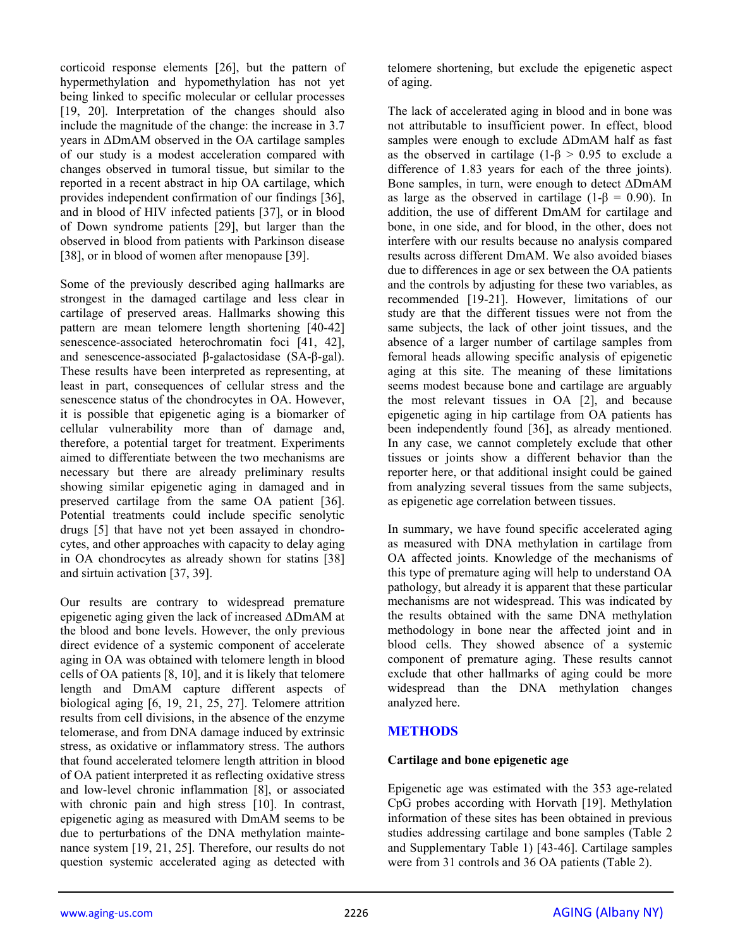corticoid response elements [26], but the pattern of hypermethylation and hypomethylation has not yet being linked to specific molecular or cellular processes [19, 20]. Interpretation of the changes should also include the magnitude of the change: the increase in 3.7 years in ΔDmAM observed in the OA cartilage samples of our study is a modest acceleration compared with changes observed in tumoral tissue, but similar to the reported in a recent abstract in hip OA cartilage, which provides independent confirmation of our findings [36], and in blood of HIV infected patients [37], or in blood of Down syndrome patients [29], but larger than the observed in blood from patients with Parkinson disease [38], or in blood of women after menopause [39].

Some of the previously described aging hallmarks are strongest in the damaged cartilage and less clear in cartilage of preserved areas. Hallmarks showing this pattern are mean telomere length shortening [40-42] senescence-associated heterochromatin foci [41, 42], and senescence-associated β-galactosidase (SA-β-gal). These results have been interpreted as representing, at least in part, consequences of cellular stress and the senescence status of the chondrocytes in OA. However, it is possible that epigenetic aging is a biomarker of cellular vulnerability more than of damage and, therefore, a potential target for treatment. Experiments aimed to differentiate between the two mechanisms are necessary but there are already preliminary results showing similar epigenetic aging in damaged and in preserved cartilage from the same OA patient [36]. Potential treatments could include specific senolytic drugs [5] that have not yet been assayed in chondrocytes, and other approaches with capacity to delay aging in OA chondrocytes as already shown for statins [38] and sirtuin activation [37, 39].

Our results are contrary to widespread premature epigenetic aging given the lack of increased ΔDmAM at the blood and bone levels. However, the only previous direct evidence of a systemic component of accelerate aging in OA was obtained with telomere length in blood cells of OA patients [8, 10], and it is likely that telomere length and DmAM capture different aspects of biological aging [6, 19, 21, 25, 27]. Telomere attrition results from cell divisions, in the absence of the enzyme telomerase, and from DNA damage induced by extrinsic stress, as oxidative or inflammatory stress. The authors that found accelerated telomere length attrition in blood of OA patient interpreted it as reflecting oxidative stress and low-level chronic inflammation [8], or associated with chronic pain and high stress [10]. In contrast, epigenetic aging as measured with DmAM seems to be due to perturbations of the DNA methylation maintenance system [19, 21, 25]. Therefore, our results do not question systemic accelerated aging as detected with

telomere shortening, but exclude the epigenetic aspect of aging.

The lack of accelerated aging in blood and in bone was not attributable to insufficient power. In effect, blood samples were enough to exclude ΔDmAM half as fast as the observed in cartilage (1- $\beta$  > 0.95 to exclude a difference of 1.83 years for each of the three joints). Bone samples, in turn, were enough to detect ΔDmAM as large as the observed in cartilage (1- $\beta$  = 0.90). In addition, the use of different DmAM for cartilage and bone, in one side, and for blood, in the other, does not interfere with our results because no analysis compared results across different DmAM. We also avoided biases due to differences in age or sex between the OA patients and the controls by adjusting for these two variables, as recommended [19-21]. However, limitations of our study are that the different tissues were not from the same subjects, the lack of other joint tissues, and the absence of a larger number of cartilage samples from femoral heads allowing specific analysis of epigenetic aging at this site. The meaning of these limitations seems modest because bone and cartilage are arguably the most relevant tissues in OA [2], and because epigenetic aging in hip cartilage from OA patients has been independently found [36], as already mentioned. In any case, we cannot completely exclude that other tissues or joints show a different behavior than the reporter here, or that additional insight could be gained from analyzing several tissues from the same subjects, as epigenetic age correlation between tissues.

In summary, we have found specific accelerated aging as measured with DNA methylation in cartilage from OA affected joints. Knowledge of the mechanisms of this type of premature aging will help to understand OA pathology, but already it is apparent that these particular mechanisms are not widespread. This was indicated by the results obtained with the same DNA methylation methodology in bone near the affected joint and in blood cells. They showed absence of a systemic component of premature aging. These results cannot exclude that other hallmarks of aging could be more widespread than the DNA methylation changes analyzed here.

# **METHODS**

## **Cartilage and bone epigenetic age**

Epigenetic age was estimated with the 353 age-related CpG probes according with Horvath [19]. Methylation information of these sites has been obtained in previous studies addressing cartilage and bone samples (Table 2 and Supplementary Table 1) [43-46]. Cartilage samples were from 31 controls and 36 OA patients (Table 2).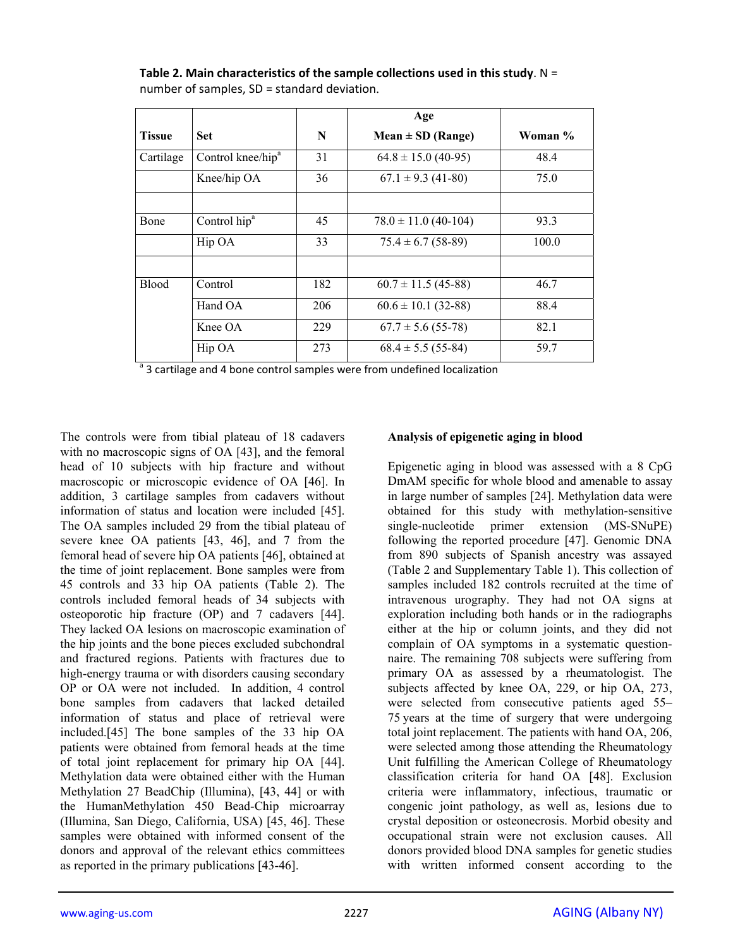|               |                               |     | Age                      |         |
|---------------|-------------------------------|-----|--------------------------|---------|
| <b>Tissue</b> | Set:                          | N   | $Mean \pm SD$ (Range)    | Woman % |
| Cartilage     | Control knee/hip <sup>a</sup> | 31  | $64.8 \pm 15.0$ (40-95)  | 48.4    |
|               | Knee/hip OA                   | 36  | $67.1 \pm 9.3$ (41-80)   | 75.0    |
|               |                               |     |                          |         |
| Bone          | Control hip <sup>a</sup>      | 45  | $78.0 \pm 11.0$ (40-104) | 93.3    |
|               | Hip OA                        | 33  | $75.4 \pm 6.7$ (58-89)   | 100.0   |
|               |                               |     |                          |         |
| <b>Blood</b>  | Control                       | 182 | $60.7 \pm 11.5$ (45-88)  | 46.7    |
|               | Hand OA                       | 206 | $60.6 \pm 10.1$ (32-88)  | 88.4    |
|               | Knee OA                       | 229 | $67.7 \pm 5.6$ (55-78)   | 82.1    |
| $a_{\sim}$    | Hip OA                        | 273 | $68.4 \pm 5.5(55-84)$    | 59.7    |

**Table 2. Main characteristics of the sample collections used in this study**. N = number of samples, SD = standard deviation.

<sup>a</sup> 3 cartilage and 4 bone control samples were from undefined localization

The controls were from tibial plateau of 18 cadavers with no macroscopic signs of OA [43], and the femoral head of 10 subjects with hip fracture and without macroscopic or microscopic evidence of OA [46]. In addition, 3 cartilage samples from cadavers without information of status and location were included [45]. The OA samples included 29 from the tibial plateau of severe knee OA patients [43, 46], and 7 from the femoral head of severe hip OA patients [46], obtained at the time of joint replacement. Bone samples were from 45 controls and 33 hip OA patients (Table 2). The controls included femoral heads of 34 subjects with osteoporotic hip fracture (OP) and 7 cadavers [44]. They lacked OA lesions on macroscopic examination of the hip joints and the bone pieces excluded subchondral and fractured regions. Patients with fractures due to high-energy trauma or with disorders causing secondary OP or OA were not included. In addition, 4 control bone samples from cadavers that lacked detailed information of status and place of retrieval were included.[45] The bone samples of the 33 hip OA patients were obtained from femoral heads at the time of total joint replacement for primary hip OA [44]. Methylation data were obtained either with the Human Methylation 27 BeadChip (Illumina), [43, 44] or with the HumanMethylation 450 Bead-Chip microarray (Illumina, San Diego, California, USA) [45, 46]. These samples were obtained with informed consent of the donors and approval of the relevant ethics committees as reported in the primary publications [43-46].

# **Analysis of epigenetic aging in blood**

Epigenetic aging in blood was assessed with a 8 CpG DmAM specific for whole blood and amenable to assay in large number of samples [24]. Methylation data were obtained for this study with methylation-sensitive single-nucleotide primer extension (MS-SNuPE) following the reported procedure [47]. Genomic DNA from 890 subjects of Spanish ancestry was assayed (Table 2 and Supplementary Table 1). This collection of samples included 182 controls recruited at the time of intravenous urography. They had not OA signs at exploration including both hands or in the radiographs either at the hip or column joints, and they did not complain of OA symptoms in a systematic questionnaire. The remaining 708 subjects were suffering from primary OA as assessed by a rheumatologist. The subjects affected by knee OA, 229, or hip OA, 273, were selected from consecutive patients aged 55– 75 years at the time of surgery that were undergoing total joint replacement. The patients with hand OA, 206, were selected among those attending the Rheumatology Unit fulfilling the American College of Rheumatology classification criteria for hand OA [48]. Exclusion criteria were inflammatory, infectious, traumatic or congenic joint pathology, as well as, lesions due to crystal deposition or osteonecrosis. Morbid obesity and occupational strain were not exclusion causes. All donors provided blood DNA samples for genetic studies with written informed consent according to the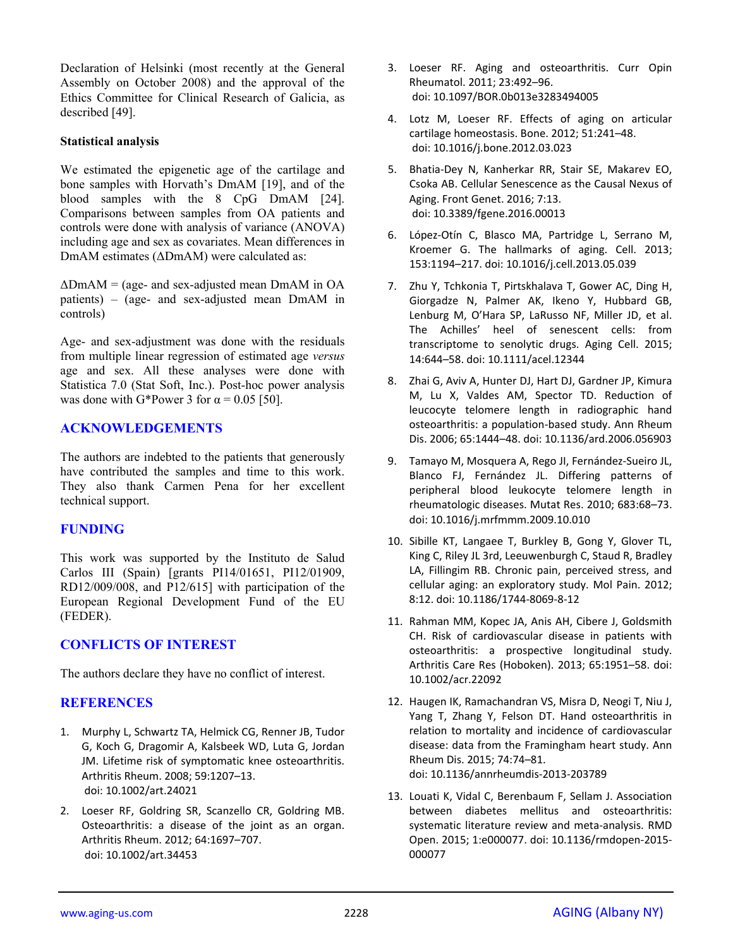Declaration of Helsinki (most recently at the General Assembly on October 2008) and the approval of the Ethics Committee for Clinical Research of Galicia, as described [49].

#### **Statistical analysis**

We estimated the epigenetic age of the cartilage and bone samples with Horvath's DmAM [19], and of the blood samples with the 8 CpG DmAM [24]. Comparisons between samples from OA patients and controls were done with analysis of variance (ANOVA) including age and sex as covariates. Mean differences in DmAM estimates (ΔDmAM) were calculated as:

 $\Delta$ DmAM = (age- and sex-adjusted mean DmAM in OA patients) – (age- and sex-adjusted mean DmAM in controls)

Age- and sex-adjustment was done with the residuals from multiple linear regression of estimated age *versus* age and sex. All these analyses were done with Statistica 7.0 (Stat Soft, Inc.). Post-hoc power analysis was done with G\*Power 3 for  $\alpha$  = 0.05 [50].

#### **ACKNOWLEDGEMENTS**

The authors are indebted to the patients that generously have contributed the samples and time to this work. They also thank Carmen Pena for her excellent technical support.

#### **FUNDING**

This work was supported by the Instituto de Salud Carlos III (Spain) [grants PI14/01651, PI12/01909, RD12/009/008, and P12/615] with participation of the European Regional Development Fund of the EU (FEDER).

## **CONFLICTS OF INTEREST**

The authors declare they have no conflict of interest.

## **REFERENCES**

- 1. Murphy L, Schwartz TA, Helmick CG, Renner JB, Tudor G, Koch G, Dragomir A, Kalsbeek WD, Luta G, Jordan JM. Lifetime risk of symptomatic knee osteoarthritis. Arthritis Rheum. 2008; 59:1207–13. doi: 10.1002/art.24021
- 2. Loeser RF, Goldring SR, Scanzello CR, Goldring MB. Osteoarthritis: a disease of the joint as an organ. Arthritis Rheum. 2012; 64:1697–707. doi: 10.1002/art.34453
- 3. Loeser RF. Aging and osteoarthritis. Curr Opin Rheumatol. 2011; 23:492–96. doi: 10.1097/BOR.0b013e3283494005
- 4. Lotz M, Loeser RF. Effects of aging on articular cartilage homeostasis. Bone. 2012; 51:241–48. doi: 10.1016/j.bone.2012.03.023
- 5. Bhatia‐Dey N, Kanherkar RR, Stair SE, Makarev EO, Csoka AB. Cellular Senescence as the Causal Nexus of Aging. Front Genet. 2016; 7:13. doi: 10.3389/fgene.2016.00013
- 6. López‐Otín C, Blasco MA, Partridge L, Serrano M, Kroemer G. The hallmarks of aging. Cell. 2013; 153:1194–217. doi: 10.1016/j.cell.2013.05.039
- 7. Zhu Y, Tchkonia T, Pirtskhalava T, Gower AC, Ding H, Giorgadze N, Palmer AK, Ikeno Y, Hubbard GB, Lenburg M, O'Hara SP, LaRusso NF, Miller JD, et al. The Achilles' heel of senescent cells: from transcriptome to senolytic drugs. Aging Cell. 2015; 14:644–58. doi: 10.1111/acel.12344
- 8. Zhai G, Aviv A, Hunter DJ, Hart DJ, Gardner JP, Kimura M, Lu X, Valdes AM, Spector TD. Reduction of leucocyte telomere length in radiographic hand osteoarthritis: a population‐based study. Ann Rheum Dis. 2006; 65:1444–48. doi: 10.1136/ard.2006.056903
- 9. Tamayo M, Mosquera A, Rego JI, Fernández‐Sueiro JL, Blanco FJ, Fernández JL. Differing patterns of peripheral blood leukocyte telomere length in rheumatologic diseases. Mutat Res. 2010; 683:68–73. doi: 10.1016/j.mrfmmm.2009.10.010
- 10. Sibille KT, Langaee T, Burkley B, Gong Y, Glover TL, King C, Riley JL 3rd, Leeuwenburgh C, Staud R, Bradley LA, Fillingim RB. Chronic pain, perceived stress, and cellular aging: an exploratory study. Mol Pain. 2012; 8:12. doi: 10.1186/1744‐8069‐8‐12
- 11. Rahman MM, Kopec JA, Anis AH, Cibere J, Goldsmith CH. Risk of cardiovascular disease in patients with osteoarthritis: a prospective longitudinal study. Arthritis Care Res (Hoboken). 2013; 65:1951–58. doi: 10.1002/acr.22092
- 12. Haugen IK, Ramachandran VS, Misra D, Neogi T, Niu J, Yang T, Zhang Y, Felson DT. Hand osteoarthritis in relation to mortality and incidence of cardiovascular disease: data from the Framingham heart study. Ann Rheum Dis. 2015; 74:74–81. doi: 10.1136/annrheumdis‐2013‐203789
- 13. Louati K, Vidal C, Berenbaum F, Sellam J. Association between diabetes mellitus and osteoarthritis: systematic literature review and meta‐analysis. RMD Open. 2015; 1:e000077. doi: 10.1136/rmdopen‐2015‐ 000077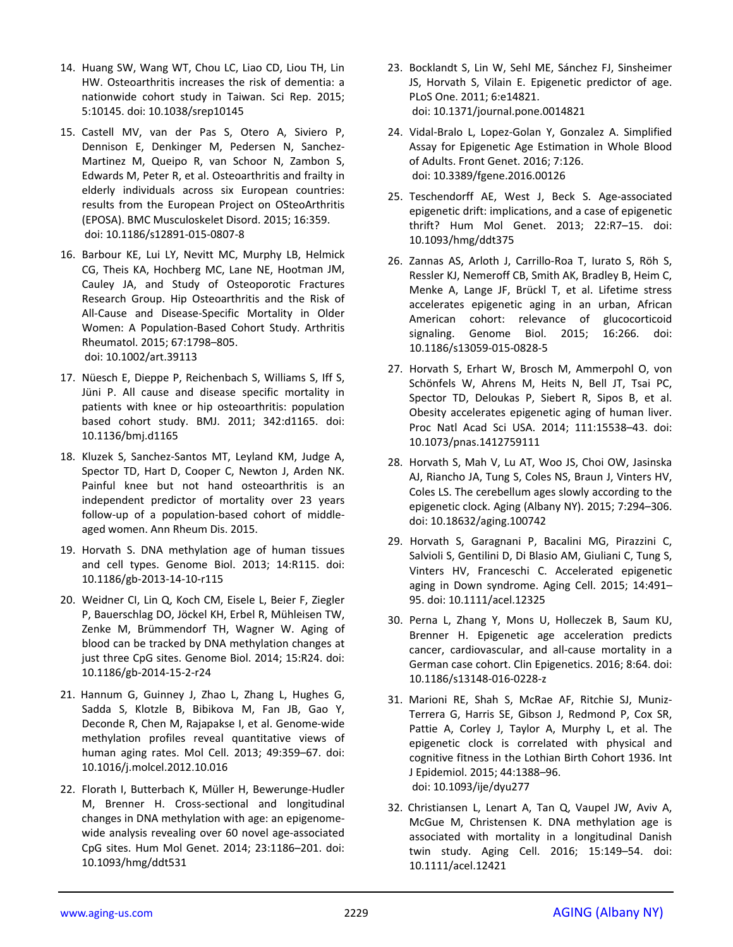- 14. Huang SW, Wang WT, Chou LC, Liao CD, Liou TH, Lin HW. Osteoarthritis increases the risk of dementia: a nationwide cohort study in Taiwan. Sci Rep. 2015; 5:10145. doi: 10.1038/srep10145
- 15. Castell MV, van der Pas S, Otero A, Siviero P, Dennison E, Denkinger M, Pedersen N, Sanchez‐ Martinez M, Queipo R, van Schoor N, Zambon S, Edwards M, Peter R, et al. Osteoarthritis and frailty in elderly individuals across six European countries: results from the European Project on OSteoArthritis (EPOSA). BMC Musculoskelet Disord. 2015; 16:359. doi: 10.1186/s12891‐015‐0807‐8
- 16. Barbour KE, Lui LY, Nevitt MC, Murphy LB, Helmick CG, Theis KA, Hochberg MC, Lane NE, Hootman JM, Cauley JA, and Study of Osteoporotic Fractures Research Group. Hip Osteoarthritis and the Risk of All‐Cause and Disease‐Specific Mortality in Older Women: A Population‐Based Cohort Study. Arthritis Rheumatol. 2015; 67:1798–805. doi: 10.1002/art.39113
- 17. Nüesch E, Dieppe P, Reichenbach S, Williams S, Iff S, Jüni P. All cause and disease specific mortality in patients with knee or hip osteoarthritis: population based cohort study. BMJ. 2011; 342:d1165. doi: 10.1136/bmj.d1165
- 18. Kluzek S, Sanchez‐Santos MT, Leyland KM, Judge A, Spector TD, Hart D, Cooper C, Newton J, Arden NK. Painful knee but not hand osteoarthritis is an independent predictor of mortality over 23 years follow‐up of a population‐based cohort of middle‐ aged women. Ann Rheum Dis. 2015.
- 19. Horvath S. DNA methylation age of human tissues and cell types. Genome Biol. 2013; 14:R115. doi: 10.1186/gb‐2013‐14‐10‐r115
- 20. Weidner CI, Lin Q, Koch CM, Eisele L, Beier F, Ziegler P, Bauerschlag DO, Jöckel KH, Erbel R, Mühleisen TW, Zenke M, Brümmendorf TH, Wagner W. Aging of blood can be tracked by DNA methylation changes at just three CpG sites. Genome Biol. 2014; 15:R24. doi: 10.1186/gb‐2014‐15‐2‐r24
- 21. Hannum G, Guinney J, Zhao L, Zhang L, Hughes G, Sadda S, Klotzle B, Bibikova M, Fan JB, Gao Y, Deconde R, Chen M, Rajapakse I, et al. Genome‐wide methylation profiles reveal quantitative views of human aging rates. Mol Cell. 2013; 49:359–67. doi: 10.1016/j.molcel.2012.10.016
- 22. Florath I, Butterbach K, Müller H, Bewerunge‐Hudler M, Brenner H. Cross‐sectional and longitudinal changes in DNA methylation with age: an epigenome‐ wide analysis revealing over 60 novel age‐associated CpG sites. Hum Mol Genet. 2014; 23:1186–201. doi: 10.1093/hmg/ddt531
- 23. Bocklandt S, Lin W, Sehl ME, Sánchez FJ, Sinsheimer JS, Horvath S, Vilain E. Epigenetic predictor of age. PLoS One. 2011; 6:e14821. doi: 10.1371/journal.pone.0014821
- 24. Vidal‐Bralo L, Lopez‐Golan Y, Gonzalez A. Simplified Assay for Epigenetic Age Estimation in Whole Blood of Adults. Front Genet. 2016; 7:126. doi: 10.3389/fgene.2016.00126
- 25. Teschendorff AE, West J, Beck S. Age‐associated epigenetic drift: implications, and a case of epigenetic thrift? Hum Mol Genet. 2013; 22:R7–15. doi: 10.1093/hmg/ddt375
- 26. Zannas AS, Arloth J, Carrillo‐Roa T, Iurato S, Röh S, Ressler KJ, Nemeroff CB, Smith AK, Bradley B, Heim C, Menke A, Lange JF, Brückl T, et al. Lifetime stress accelerates epigenetic aging in an urban, African American cohort: relevance of glucocorticoid signaling. Genome Biol. 2015; 16:266. doi: 10.1186/s13059‐015‐0828‐5
- 27. Horvath S, Erhart W, Brosch M, Ammerpohl O, von Schönfels W, Ahrens M, Heits N, Bell JT, Tsai PC, Spector TD, Deloukas P, Siebert R, Sipos B, et al. Obesity accelerates epigenetic aging of human liver. Proc Natl Acad Sci USA. 2014; 111:15538–43. doi: 10.1073/pnas.1412759111
- 28. Horvath S, Mah V, Lu AT, Woo JS, Choi OW, Jasinska AJ, Riancho JA, Tung S, Coles NS, Braun J, Vinters HV, Coles LS. The cerebellum ages slowly according to the epigenetic clock. Aging (Albany NY). 2015; 7:294–306. doi: 10.18632/aging.100742
- 29. Horvath S, Garagnani P, Bacalini MG, Pirazzini C, Salvioli S, Gentilini D, Di Blasio AM, Giuliani C, Tung S, Vinters HV, Franceschi C. Accelerated epigenetic aging in Down syndrome. Aging Cell. 2015; 14:491– 95. doi: 10.1111/acel.12325
- 30. Perna L, Zhang Y, Mons U, Holleczek B, Saum KU, Brenner H. Epigenetic age acceleration predicts cancer, cardiovascular, and all‐cause mortality in a German case cohort. Clin Epigenetics. 2016; 8:64. doi: 10.1186/s13148‐016‐0228‐z
- 31. Marioni RE, Shah S, McRae AF, Ritchie SJ, Muniz‐ Terrera G, Harris SE, Gibson J, Redmond P, Cox SR, Pattie A, Corley J, Taylor A, Murphy L, et al. The epigenetic clock is correlated with physical and cognitive fitness in the Lothian Birth Cohort 1936. Int J Epidemiol. 2015; 44:1388–96. doi: 10.1093/ije/dyu277
- 32. Christiansen L, Lenart A, Tan Q, Vaupel JW, Aviv A, McGue M, Christensen K. DNA methylation age is associated with mortality in a longitudinal Danish twin study. Aging Cell. 2016; 15:149–54. doi: 10.1111/acel.12421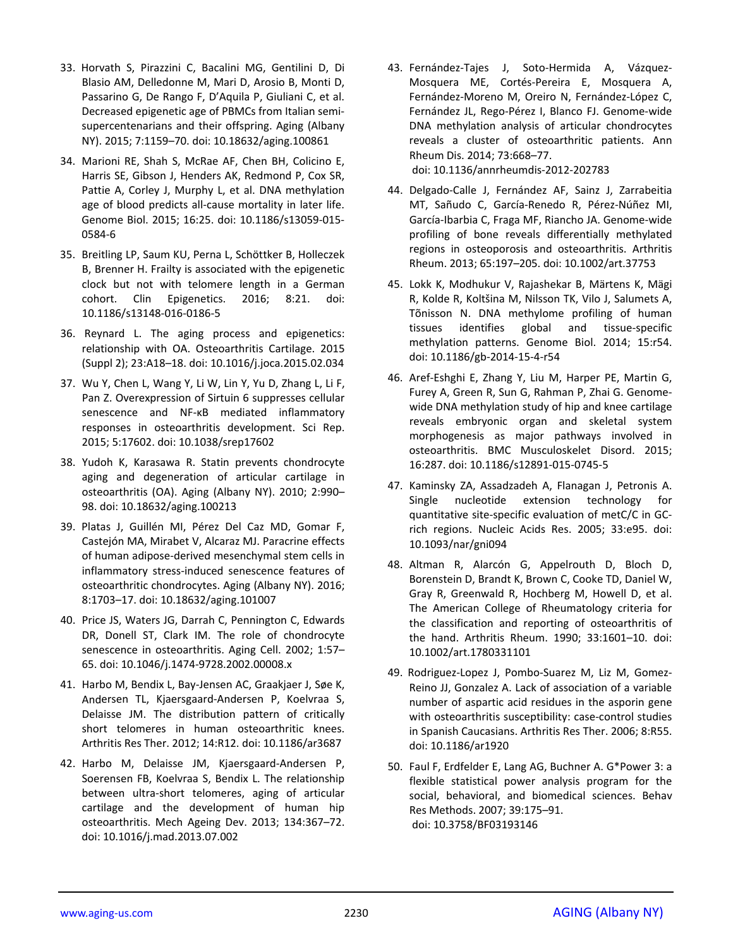- 33. Horvath S, Pirazzini C, Bacalini MG, Gentilini D, Di Blasio AM, Delledonne M, Mari D, Arosio B, Monti D, Passarino G, De Rango F, D'Aquila P, Giuliani C, et al. Decreased epigenetic age of PBMCs from Italian semi‐ supercentenarians and their offspring. Aging (Albany NY). 2015; 7:1159–70. doi: 10.18632/aging.100861
- 34. Marioni RE, Shah S, McRae AF, Chen BH, Colicino E, Harris SE, Gibson J, Henders AK, Redmond P, Cox SR, Pattie A, Corley J, Murphy L, et al. DNA methylation age of blood predicts all‐cause mortality in later life. Genome Biol. 2015; 16:25. doi: 10.1186/s13059‐015‐ 0584‐6
- 35. Breitling LP, Saum KU, Perna L, Schöttker B, Holleczek B, Brenner H. Frailty is associated with the epigenetic clock but not with telomere length in a German cohort. Clin Epigenetics. 2016; 8:21. doi: 10.1186/s13148‐016‐0186‐5
- 36. Reynard L. The aging process and epigenetics: relationship with OA. Osteoarthritis Cartilage. 2015 (Suppl 2); 23:A18–18. doi: 10.1016/j.joca.2015.02.034
- 37. Wu Y, Chen L, Wang Y, Li W, Lin Y, Yu D, Zhang L, Li F, Pan Z. Overexpression of Sirtuin 6 suppresses cellular senescence and NF‐κB mediated inflammatory responses in osteoarthritis development. Sci Rep. 2015; 5:17602. doi: 10.1038/srep17602
- 38. Yudoh K, Karasawa R. Statin prevents chondrocyte aging and degeneration of articular cartilage in osteoarthritis (OA). Aging (Albany NY). 2010; 2:990– 98. doi: 10.18632/aging.100213
- 39. Platas J, Guillén MI, Pérez Del Caz MD, Gomar F, Castejón MA, Mirabet V, Alcaraz MJ. Paracrine effects of human adipose‐derived mesenchymal stem cells in inflammatory stress‐induced senescence features of osteoarthritic chondrocytes. Aging (Albany NY). 2016; 8:1703–17. doi: 10.18632/aging.101007
- 40. Price JS, Waters JG, Darrah C, Pennington C, Edwards DR, Donell ST, Clark IM. The role of chondrocyte senescence in osteoarthritis. Aging Cell. 2002; 1:57– 65. doi: 10.1046/j.1474‐9728.2002.00008.x
- 41. Harbo M, Bendix L, Bay‐Jensen AC, Graakjaer J, Søe K, Andersen TL, Kjaersgaard‐Andersen P, Koelvraa S, Delaisse JM. The distribution pattern of critically short telomeres in human osteoarthritic knees. Arthritis Res Ther. 2012; 14:R12. doi: 10.1186/ar3687
- 42. Harbo M, Delaisse JM, Kjaersgaard‐Andersen P, Soerensen FB, Koelvraa S, Bendix L. The relationship between ultra‐short telomeres, aging of articular cartilage and the development of human hip osteoarthritis. Mech Ageing Dev. 2013; 134:367–72. doi: 10.1016/j.mad.2013.07.002
- 43. Fernández-Tajes J, Soto-Hermida A, Vázquez-Mosquera ME, Cortés‐Pereira E, Mosquera A, Fernández‐Moreno M, Oreiro N, Fernández‐López C, Fernández JL, Rego‐Pérez I, Blanco FJ. Genome‐wide DNA methylation analysis of articular chondrocytes reveals a cluster of osteoarthritic patients. Ann Rheum Dis. 2014; 73:668–77. doi: 10.1136/annrheumdis‐2012‐202783
- 44. Delgado‐Calle J, Fernández AF, Sainz J, Zarrabeitia MT, Sañudo C, García‐Renedo R, Pérez‐Núñez MI, García‐Ibarbia C, Fraga MF, Riancho JA. Genome‐wide profiling of bone reveals differentially methylated regions in osteoporosis and osteoarthritis. Arthritis Rheum. 2013; 65:197–205. doi: 10.1002/art.37753
- 45. Lokk K, Modhukur V, Rajashekar B, Märtens K, Mägi R, Kolde R, Koltšina M, Nilsson TK, Vilo J, Salumets A, Tõnisson N. DNA methylome profiling of human tissues identifies global and tissue‐specific methylation patterns. Genome Biol. 2014; 15:r54. doi: 10.1186/gb‐2014‐15‐4‐r54
- 46. Aref‐Eshghi E, Zhang Y, Liu M, Harper PE, Martin G, Furey A, Green R, Sun G, Rahman P, Zhai G. Genome‐ wide DNA methylation study of hip and knee cartilage reveals embryonic organ and skeletal system morphogenesis as major pathways involved in osteoarthritis. BMC Musculoskelet Disord. 2015; 16:287. doi: 10.1186/s12891‐015‐0745‐5
- 47. Kaminsky ZA, Assadzadeh A, Flanagan J, Petronis A. Single nucleotide extension technology for quantitative site‐specific evaluation of metC/C in GC‐ rich regions. Nucleic Acids Res. 2005; 33:e95. doi: 10.1093/nar/gni094
- 48. Altman R, Alarcón G, Appelrouth D, Bloch D, Borenstein D, Brandt K, Brown C, Cooke TD, Daniel W, Gray R, Greenwald R, Hochberg M, Howell D, et al. The American College of Rheumatology criteria for the classification and reporting of osteoarthritis of the hand. Arthritis Rheum. 1990; 33:1601–10. doi: 10.1002/art.1780331101
- 49. Rodriguez‐Lopez J, Pombo‐Suarez M, Liz M, Gomez‐ Reino JJ, Gonzalez A. Lack of association of a variable number of aspartic acid residues in the asporin gene with osteoarthritis susceptibility: case-control studies in Spanish Caucasians. Arthritis Res Ther. 2006; 8:R55. doi: 10.1186/ar1920
- 50. Faul F, Erdfelder E, Lang AG, Buchner A. G\*Power 3: a flexible statistical power analysis program for the social, behavioral, and biomedical sciences. Behav Res Methods. 2007; 39:175–91. doi: 10.3758/BF03193146